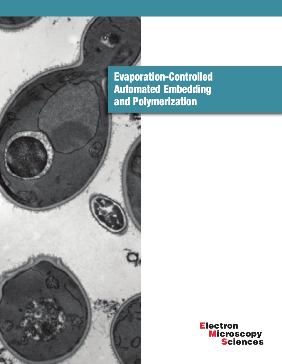**Evaporation-Controlled Automated Embedding and Polymerization**



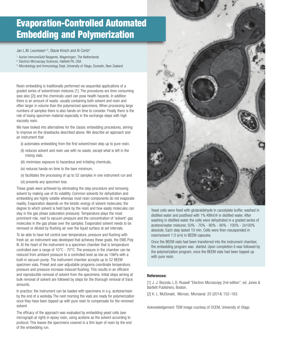### **Evaporation-Controlled Automated Embedding and Polymerization**

Jan L.M. Leunissen<sup>1,3</sup>, Stacie Kirsch and Al Coritz<sup>2</sup>

- 1. Aurion ImmunoGold Reagents, Wageningen, The Netherlands
- 2. Electron Microscopy Sciences, Hatfield PA, USA
- <sup>3.</sup> Microbiology and Immunology Dept, University of Otago, Dunedin, New Zealand

Resin embedding is traditionally performed via sequential applications of a graded series of solvent/resin mixtures [1]. The procedures are time consuming (see also [2]) and the chemicals used can pose health hazards. In addition there is an amount of waste, usually containing both solvent and resin and often larger in volume than the polymerized specimens. When processing large numbers of samples there is also hands-on time to consider. Finally there is the risk of losing specimen material especially in the exchange steps with high viscosity resin.

We have looked into alternatives for the classic embedding procedures, aiming to improve on the drawbacks described above. We describe an approach and an instrument that

- (i) automates embedding from the first solvent/resin step up to pure resin,
- (ii) reduces solvent and resin use with no waste, except what is left in the mixing vials,
- (iii) minimises exposure to hazardous and irritating chemicals,
- (iv) reduces hands-on time to the bare minimum,
- (v) facilitates the processing of up to 52 samples in one instrument run and
- (vi) prevents any specimen loss.

These goals were achieved by eliminating the step-procedure and removing solvent by making use of its volatility. Common solvents for dehydration and embedding are highly volatile whereas most resin components do not evaporate readily. Evaporation depends on the kinetic energy of solvent molecules, the degree to which solvent is held back by the resin and how easily molecules can stay in the gas phase (saturation pressure). Temperature plays the most prominent role, next to vacuum pressure and the concentration of 'solvent' gas molecules in the gas phase over the samples. Evaporated solvent needs to be removed or diluted by flushing air over the liquid surface at set intervals.

To be able to have full control over temperature, pressure and flushing with fresh air, an instrument was developed that achieves these goals, the EMS Poly III. At the heart of the instrument is a specimen chamber that is temperature controlled over a range of 10°C - 70°C. The pressure in the chamber can be reduced from ambient pressure to a controlled level as low as 10kPa with a built-in vacuum pump. The instrument chamber accepts up to 52 BEEM specimen vials. Preset and user-adjustable programs coordinate temperature, pressure and pressure-increase-induced flushing. This results in an efficient and reproducible removal of solvent from the specimens. Initial steps aiming at bulk removal of solvent are followed by steps for the thorough removal of trace amounts.

In practice: the instrument can be loaded with specimens in e.g. acetone/resin by the end of a workday The next morning the vials are ready for polymerization once they have been topped up with pure resin to compensate for the removed solvent

The efficacy of the approach was evaluated by embedding yeast cells (see micrograph at right) in epoxy resin, using acetone as the solvent according to protocol. This leaves the specimens covered in a thin layer of resin by the end of the embedding run.



Yeast cells were fixed with glutaraldehyde in cacodylate buffer, washed in distilled water and postfixed with 1% KMnO4 in distilled water. After washing in distilled water the cells were dehydrated in a graded series of acetone/water mixtures: 50% - 70% - 80% - 90% - 100% - 2x100% absolute. Each step lasted 10 min. Cells were then resuspended in resin/solvent 1:3 (v/v) in BEEM capsules.

Once the BEEM vials had been transferred into the instrument chamber, the embedding program was started. Upon completion it was followed by the polymerization program, once the BEEM vials had been topped up with pure resin.

### **References:**

[1] J. J. Bozzola, L.D. Russell "Electron Microscopy 2nd edition", ed. Jones & Bartlett Publishers, Boston.

[2] K. L. McDonald, Microsc. Microanal. 20 (2014) 152-163.

Acknowledgement: TEM image courtesy of OCEM, University of Otago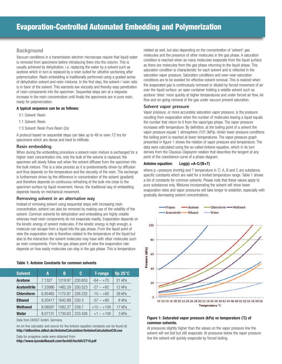### **Background**

Vacuum conditions in a transmission electron microscope require that liquid water is removed from specimens before introducing them into the column. This is usually achieved by dehydration, i.e. replacing the water by a solvent such as acetone which in turn is replaced by a resin suited for ultrathin sectioning after polymerization. Resin embedding is traditionally performed using a graded series of dehydration solvent and resin mixtures. In the first step, the solvent / resin ratio is in favor of the solvent. This warrants low viscosity and thereby easy penetration of resin components into the specimen. Sequential steps aim at a stepwise increase in the resin concentration until finally the specimens are in pure resin, ready for polymerization.

### **A typical sequence can be as follows:**

- 3:1 Solvent: Resin
- 1:1 Solvent: Resin
- 1:3 Solvent: Resin Pure Resin (2x)

A protocol based on sequential steps can take up to 48 or even 72 hrs for specimens which are dense and hard to infiltrate.

### Resin embedding

When during the embedding procedure a solvent-resin mixture is exchanged for a higher resin concentration mix, only the bulk of the volume is replaced; the specimen will slowly follow suit when the solvent diffuses from the specimen into the bulk mixture. This is a slow process as it is predominantly driven by diffusion and thus depends on the temperature and the viscosity of the resin. The exchange is furthermore driven by the difference in concentration of the solvent (gradient) and therefore depends on continuous refreshing of the bulk mix close to the specimen surface by liquid movement. Hence, the traditional way of embedding depends heavily on mechanical movement.

### Removing solvent in an alternative way

Instead of removing solvent using sequential steps with increasing resin concentration, solvent can also be removed by making use of the volatility of the solvent. Common solvents for dehydration and embedding are highly volatile whereas most resin components do not evaporate readily. Evaporation depends on the kinetic energy of solvent molecules. If the kinetic energy is high enough, a molecule can escape from a liquid into the gas phase. From the liquid point of view the evaporation rate is therefore related to the temperature of the liquid but also to the interaction the solvent molecules may have with other molecules such as resin components. From the gas phase point of view the evaporation rate depends on how easily molecules can stay in the gas phase. This is temperature

| Table 1: Antoine Constants for common solvents |  |  |  |  |  |  |  |
|------------------------------------------------|--|--|--|--|--|--|--|
|------------------------------------------------|--|--|--|--|--|--|--|

| <b>Solvent</b>      | A       | B       | C       | <b>T-range</b> | <b>Vp 25°C</b> |
|---------------------|---------|---------|---------|----------------|----------------|
| <b>Acetone</b>      | 7.1327  | 1219.97 | 230.653 | $-64 - +70$    | 31 kPa         |
| <b>Acetonitrile</b> | 7.33986 | 1482.29 | 250,523 | $-27 - +82$    | 12 kPa         |
| <b>Chloroform</b>   | 6.95465 | 1170.97 | 226.232 | $-10 - +60$    | 26 kPa         |
| <b>Ethanol</b>      | 8.20417 | 1642.89 | 230.3   | $-57 - +80$    | 8 kPa          |
| <b>Methanol</b>     | 8.08097 | 1582.27 | 239.7   | $+15 - +100$   | 17 kPa         |
| <b>Water</b>        | 8.07131 | 1730.63 | 233.426 | $+1 - +100$    | 3 kPa          |

Data from DDSST GmbH, Germany.

An on-line calculator and source for the Antoine equation constants can be found at: **http://ddbonline.ddbst.de/AntoineCalculation/AntoineCalculationCGl.exe**

Data for propylene oxide were obtained from: **http://www.lyondellbasell.com/techlit/techlit/2710.pdf**  related as well, but also depending on the concentration of 'solvent' gas molecules and the presence of other molecules in the gas phase. A saturation condition is reached when as many molecules evaporate from the liquid surface as there are molecules from the gas phase returning to the liquid phase. This saturation condition is characteristic for each solvent and is reflected in the saturation vapor pressure. Saturation conditions and even near-saturation conditions are to be avoided for effective solvent removal. This is realized when the evaporated gas is continuously removed or diluted by forced movement of air over the liquid surface: an open container holding a volatile solvent such as acetone 'dries' more quickly at higher temperatures and under forced air flow. Air flow and on-going removal of the gas under vacuum prevent saturation.

### Solvent vapor pressure

Vapor pressure, or more accurately saturation vapor pressure, is the pressure resulting from evaporation when the number of molecules leaving a liquid equals the number that return to it from the vapor/gas phase. The vapor pressure increases with temperature. By definition, at the boiling point of a solvent the vapor pressure equals 1 atmosphere (101.3kPa). Under lower pressure conditions the boiling point is reached at lower temperatures. The vapor pressure graph presented in figure 1 shows the relation of vapor pressure and temperature. The data were calculated using the so-called Antoine equation, which in its turn derives from the Clausius-Clapeyron relation that describes the tangent at any point of the coexistence curve of a phase diagram.

### **Antoine equation: Log(p) =A-C/(B+T)**

where  $p =$ pressure (mmHg) and T temperature in  $°C$ . A, B and C are substance specific constants which are valid for a limited temperature range. Table 1 shows a list of constants for common solvents. Please note that these values apply to pure substances only. Mixtures incorporating the solvent will show lower evaporation rates and vapor pressures will take longer to establish, especially with gradually decreasing solvent concentrations.



### **Figure 1: Saturated vapor pressure (kPa) vs temperature (˚C) of common solvents.**

At pressures slightly higher than the values on the vapor pressure line the solvent will not boil but still evaporate. At pressures below the vapor pressure line the solvent will quickly evaporate by forced boiling.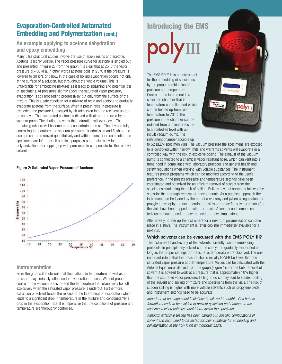### **Evaporation-Controlled Automated Embedding and Polymerization (cont.)**

### **An example applying to acetone dehydration and epoxy embedding**

Many ultra structural studies involve the use of epoxy resins and acetone. Acetone is highly volatile. The vapor pressure curve for acetone is singled out and presented in figure 2. From the graph it is clear that at 25°C the vapor pressure is ~30 kPa, in other words acetone boils at 25°C if the pressure is lowered to 30 kPa or below. In the case of boiling evaporation occurs not only at the surface of a solution, but throughout the whole volume. This is unfavorable for embedding mixtures as it leads to splashing and potential loss of specimens. At pressures slightly above the saturated vapor pressure, evaporation is still proceeding progressively but only from the surface of the mixture. This is a safe condition for a mixture of resin and acetone to gradually evaporate acetone from the surface. When a preset raise in pressure is exceeded, the pressure is released by air admission into the recipient up to a preset level. The evaporated acetone is diluted with air and removed by the vacuum pump. The dilution prevents that saturation will ever occur. The remaining mixture will become more concentrated in resin. Thus by carefully controlling temperature and vacuum pressure, air admission and flushing the acetone can be removed quantitatively and within hours; upon completion the specimens are left in for all practical purposes pure resin ready for polymerization after topping up with pure resin to compensate for the removed solvent.

### **Figure 2: Saturated Vapor Pressure of Acetone**



### **Instrumentation**

From the graphs it is obvious that fluctuations in temperature as well as in pressure may seriously influence the evaporation process. Without proper control of the vacuum pressure and the temperature the solvent may boil off explosively when the saturated vapor pressure is undercut. Furthermore, extraction of solvent forces the release of the latent heat of evaporation which leads to a significant drop in temperature in the mixture and concomitantly a drop in the evaporation rate. It is imperative that the conditions of pressure and temperature are thoroughly controlled.

# **Introducing the EMS**

The EMS POLY III is an instrument for the embedding of specimens by the proper combination of pressure and temperature. Central to the instrument is a specimen chamber that is temperature controlled and which can be heated up from room temperature to 70°C. The pressure in the chamber can be reduced from ambient pressure to a controlled level with an inbuilt vacuum-pump. The instrument chamber accepts up



to 52 BEEM specimen vials. The vacuum pressure the specimens are exposed to is controlled within narrow limits and warrants solvents will evaporate in a controlled way with the risk of explosive boiling. The exhaust of the vacuum pump is connected to a chemical vapor resistant hose, which can vent into a fume hood in compliance with laboratory practices and general health and safety regulations when working with volatile substances. The instrument features preset programs which can be modified according to the user's preference. In the presets pressure and temperature settings have been coordinated and optimized for an efficient removal of solvent from the specimens eliminating the risk of boiling. Bulk removal of solvent is followed by steps for the thorough removal of trace amounts. As a practical approach the instrument can be loaded by the end of a workday and (when using acetone or propylene oxide) by the next morning the vials are ready for polymerization after the vials have been topped up with pure resin. A lengthy and sometimes tedious manual procedure now reduced to a few simple steps.

Alternatively, to free up the instrument for a next run, polymerization can take place in a stove. The instrument is (after cooling) immediately available for a next run.

### Which solvents can be evacuated with the EMS POLY III?

The instrument handles any of the solvents currently used in embedding protocols. In principle any solvent can be safely and gradually evaporated as long as the proper settings for pressure vs temperature are observed. The one important rule is that the pressure should initially NEVER be lower than the saturated vapor pressure at that temperature. Values can be calculated with the Antoine Equation or derived from the graph (Figure 1). For the bulk removal of solvent it is advised to work at a pressure that is approximately 10% higher than the saturated vapor pressure. Failing to do so may lead to sudden boiling of the solvent and spilling of mixture and specimens from the vials. The risk of sudden spilling is higher with more volatile solvents such as propylene oxide and instrument settings need to be accurate.

*Important: at no stage should solutions be allowed to bubble. Gas bubble formation needs to be avoided to prevent splashing and damage to the specimens when bubbles should form inside the specimen.* 

*Although extensive testing has been carried out, specific combinations of solvent and resin need to be tested for their suitability for embedding and polymerization in the Poly III on an individual basis.*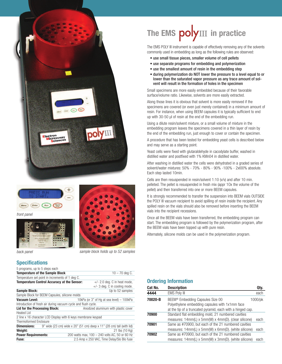





*back panel*



*sample block holds up to 52 samples*

### **Specifications**

| 5 programs, up to 5 steps each                                 |                                                                       |
|----------------------------------------------------------------|-----------------------------------------------------------------------|
| <b>Temperature of the Sample Block</b>                         | $10 - 70$ deg C.                                                      |
| Temperature set point in increments of 1 deg C.                |                                                                       |
| <b>Temperature Control Accuracy at the Sensor:</b>             | $+/- 2.0$ deg. C in heat mode,                                        |
|                                                                | $+/-$ 3 deg. C in cooling mode.                                       |
| <b>Sample Block:</b>                                           | Up to 52 samples                                                      |
| Sample Block for BEEM Capsules, silicone molds                 |                                                                       |
| <b>Vacuum Level:</b>                                           | 10kPa (or 3" of Hg at sea level) - 100kPa                             |
| Introduction of fresh air during vacuum cycle and flush cycle. |                                                                       |
| <b>Lid for the Processing Block:</b>                           | Anodized aluminum with plastic cover                                  |
| Heated Lid                                                     |                                                                       |
| 2 line x 16 character LCD Display with 6 keys membrane keypad  |                                                                       |
| <b>Thermoformed Enclosure</b>                                  |                                                                       |
| <b>Dimensions:</b>                                             | 9" wide (23 cm) wide x 20" (51 cm) deep x 11" (28 cm) tall (with lid) |
| Weight:                                                        | 21 lbs (10 Kg)                                                        |
| <b>Power Requirements:</b>                                     | 200 watts max, 100 - 240 volts AC, 50 or 60 Hz                        |
| Fuse:                                                          | 2.5 Amp x 250 VAC, Time Delay/Slo Blo fuse                            |

# The EMS **poly**III in practice

The EMS POLY III instrument is capable of effectively removing any of the solvents commonly used in embedding as long as the following rules are observed:

- use small tissue pieces, smaller volume of cell pellets
- use separate programs for embedding and polymerization
- use the smallest amount of resin in the embedding step
- during polymerization do NOT lower the pressure to a level equal to or lower than the saturated vapor pressure as any trace amount of solvent will result in the formation of holes in the specimen

Small specimens are more easily embedded because of their favorable surface/volume ratio. Likewise, solvents are more easily extracted.

Along those lines it is obvious that solvent is more easily removed if the specimens are covered (or even just merely contained) in a minimum amount of resin. For instance, when using BEEM capsules it is typically sufficient to end up with 30-50 µI of resin at the end of the embedding run.

Using a dilute resin/solvent mixture, or a small volume of mixture in the embedding program leaves the specimens covered in a thin layer of resin by the end of the embedding run, just enough to cover or contain the specimen.

A procedure that has been tested for embedding yeast cells is described below and may serve as a starting point.

Yeast cells were fixed with glutaraldehyde in cacodylate buffer, washed in distilled water and postfixed with 1% KMn04 in distilled water.

After washing in distilled water the cells were dehydrated in a graded series of solvent/water mixtures: 50% - 70% - 80% - 90% -100% - 2xl00% absolute. Each step lasted 10min.

Cells are then resuspended in resin/solvent 1:10 (v/v) and after 10 min. pelleted. The pellet is resuspended in fresh mix (appr 1Ox the volume of the pellet) and then transferred into one or more BEEM capsules.

It is strongly recommended to transfer the suspension into BEEM vials OUTSIDE the POLY III vacuum recipient to avoid spilling of resin inside the recipient. Any spilled resin on the vials should also be removed before inserting the BEEM vials into the recipient recessions.

Once all the BEEM vials have been transferred, the embedding program can start. The embedding program is followed by the polymerization program, after the BEEM vials have been topped up with pure resin.

Alternately, silicone molds can be used in the polymerization program.

### **Ordering Information**

| Cat No. | <b>Description</b>                                                                                                                                            | Qty.    |
|---------|---------------------------------------------------------------------------------------------------------------------------------------------------------------|---------|
| 4444    | <b>EMS Poly III</b>                                                                                                                                           | each    |
| 70020-B | BEEM <sup>®</sup> Embedding Capsules Size 00<br>Polyethylene embedding capsules with 1x1mm face<br>at the tip of a truncated pyramid, each with a hinged cap. | 1000/pk |
| 70900   | Standard flat embedding mold, 21 numbered cavities<br>measures: 14mm(L) x 5mm(W) x 4mm(D). (clear silicone)                                                   | each    |
| 70901   | Same as #70900, but each of the 21 numbered cavities<br>measures: 14mm(L) x 5mm(W) x 6mm(D). (white silicone)                                                 | each    |
| 70902   | Same as #70900, but each of the 21 numbered cavities<br>measures: 14mm(L) x 5mm(W) x 3mm(D). (white silicone)                                                 | each    |